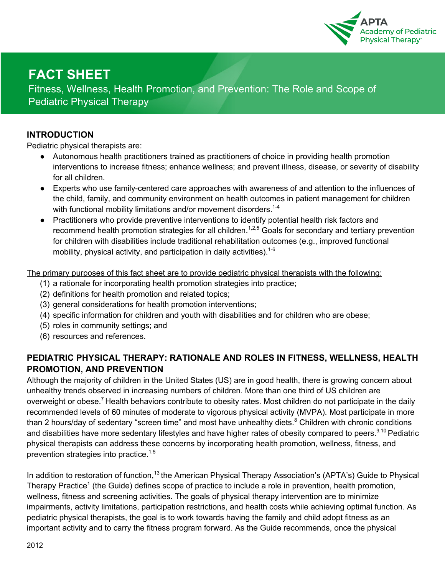

# **FACT SHEET**

Fitness, Wellness, Health Promotion, and Prevention: The Role and Scope of Pediatric Physical Therapy

#### **INTRODUCTION**

Pediatric physical therapists are:

- Autonomous health practitioners trained as practitioners of choice in providing health promotion interventions to increase fitness; enhance wellness; and prevent illness, disease, or severity of disability for all children.
- Experts who use family-centered care approaches with awareness of and attention to the influences of the child, family, and community environment on health outcomes in patient management for children with functional mobility limitations and/or movement disorders.<sup>1-4</sup>
- Practitioners who provide preventive interventions to identify potential health risk factors and recommend health promotion strategies for all children.<sup>1,2,5</sup> Goals for secondary and tertiary prevention for children with disabilities include traditional rehabilitation outcomes (e.g., improved functional mobility, physical activity, and participation in daily activities).<sup>1-6</sup>

The primary purposes of this fact sheet are to provide pediatric physical therapists with the following:

- (1) a rationale for incorporating health promotion strategies into practice;
- (2) definitions for health promotion and related topics;
- (3) general considerations for health promotion interventions;
- (4) specific information for children and youth with disabilities and for children who are obese;
- (5) roles in community settings; and
- (6) resources and references.

## **PEDIATRIC PHYSICAL THERAPY: RATIONALE AND ROLES IN FITNESS, WELLNESS, HEALTH PROMOTION, AND PREVENTION**

Although the majority of children in the United States (US) are in good health, there is growing concern about unhealthy trends observed in increasing numbers of children. More than one third of US children are overweight or obese.<sup>7</sup> Health behaviors contribute to obesity rates. Most children do not participate in the daily recommended levels of 60 minutes of moderate to vigorous physical activity (MVPA). Most participate in more than 2 hours/day of sedentary "screen time" and most have unhealthy diets.<sup>8</sup> Children with chronic conditions and disabilities have more sedentary lifestyles and have higher rates of obesity compared to peers.<sup>9,10</sup> Pediatric physical therapists can address these concerns by incorporating health promotion, wellness, fitness, and prevention strategies into practice.1,5

In addition to restoration of function,<sup>13</sup> the American Physical Therapy Association's (APTA's) Guide to Physical Therapy Practice<sup>1</sup> (the Guide) defines scope of practice to include a role in prevention, health promotion, wellness, fitness and screening activities. The goals of physical therapy intervention are to minimize impairments, activity limitations, participation restrictions, and health costs while achieving optimal function. As pediatric physical therapists, the goal is to work towards having the family and child adopt fitness as an important activity and to carry the fitness program forward. As the Guide recommends, once the physical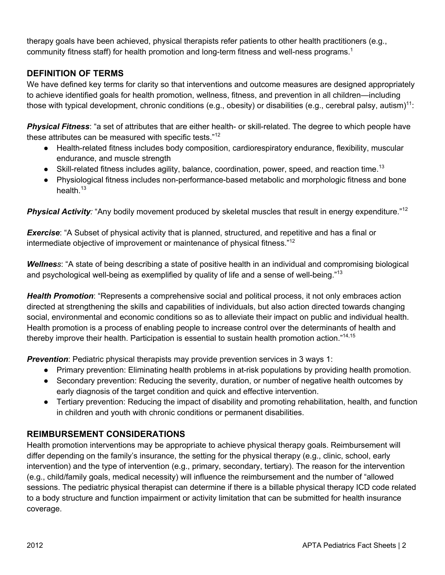therapy goals have been achieved, physical therapists refer patients to other health practitioners (e.g., community fitness staff) for health promotion and long-term fitness and well-ness programs.<sup>1</sup>

### **DEFINITION OF TERMS**

We have defined key terms for clarity so that interventions and outcome measures are designed appropriately to achieve identified goals for health promotion, wellness, fitness, and prevention in all children—including those with typical development, chronic conditions (e.g., obesity) or disabilities (e.g., cerebral palsy, autism)<sup>11</sup>:

*Physical Fitness*: "a set of attributes that are either health- or skill-related. The degree to which people have these attributes can be measured with specific tests."<sup>12</sup>

- Health-related fitness includes body composition, cardiorespiratory endurance, flexibility, muscular endurance, and muscle strength
- $\bullet$  Skill-related fitness includes agility, balance, coordination, power, speed, and reaction time.<sup>13</sup>
- Physiological fitness includes non-performance-based metabolic and morphologic fitness and bone health  $13$

*Physical Activity:* "Any bodily movement produced by skeletal muscles that result in energy expenditure."<sup>12</sup>

*Exercise*: "A Subset of physical activity that is planned, structured, and repetitive and has a final or intermediate objective of improvement or maintenance of physical fitness."<sup>12</sup>

*Wellness*: "A state of being describing a state of positive health in an individual and compromising biological and psychological well-being as exemplified by quality of life and a sense of well-being."<sup>13</sup>

*Health Promotion*: "Represents a comprehensive social and political process, it not only embraces action directed at strengthening the skills and capabilities of individuals, but also action directed towards changing social, environmental and economic conditions so as to alleviate their impact on public and individual health. Health promotion is a process of enabling people to increase control over the determinants of health and thereby improve their health. Participation is essential to sustain health promotion action."<sup>14,15</sup>

**Prevention**: Pediatric physical therapists may provide prevention services in 3 ways 1:

- Primary prevention: Eliminating health problems in at-risk populations by providing health promotion.
- Secondary prevention: Reducing the severity, duration, or number of negative health outcomes by early diagnosis of the target condition and quick and effective intervention.
- Tertiary prevention: Reducing the impact of disability and promoting rehabilitation, health, and function in children and youth with chronic conditions or permanent disabilities.

### **REIMBURSEMENT CONSIDERATIONS**

Health promotion interventions may be appropriate to achieve physical therapy goals. Reimbursement will differ depending on the family's insurance, the setting for the physical therapy (e.g., clinic, school, early intervention) and the type of intervention (e.g., primary, secondary, tertiary). The reason for the intervention (e.g., child/family goals, medical necessity) will influence the reimbursement and the number of "allowed sessions. The pediatric physical therapist can determine if there is a billable physical therapy ICD code related to a body structure and function impairment or activity limitation that can be submitted for health insurance coverage.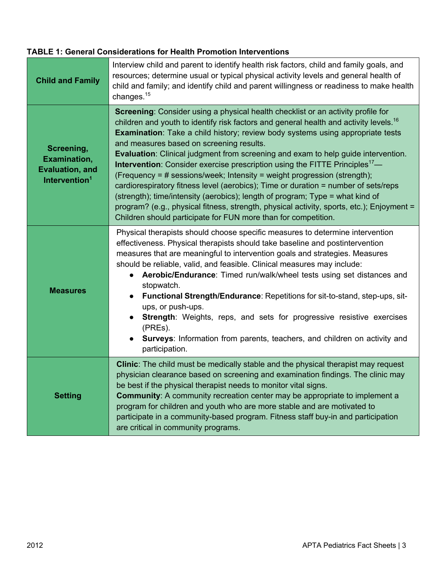### **TABLE 1: General Considerations for Health Promotion Interventions**

| <b>Child and Family</b>                                                                  | Interview child and parent to identify health risk factors, child and family goals, and<br>resources; determine usual or typical physical activity levels and general health of<br>child and family; and identify child and parent willingness or readiness to make health<br>changes. $15$                                                                                                                                                                                                                                                                                                                                                                                                                                                                                                                                                                                                                                         |
|------------------------------------------------------------------------------------------|-------------------------------------------------------------------------------------------------------------------------------------------------------------------------------------------------------------------------------------------------------------------------------------------------------------------------------------------------------------------------------------------------------------------------------------------------------------------------------------------------------------------------------------------------------------------------------------------------------------------------------------------------------------------------------------------------------------------------------------------------------------------------------------------------------------------------------------------------------------------------------------------------------------------------------------|
| Screening,<br><b>Examination,</b><br><b>Evaluation, and</b><br>Intervention <sup>1</sup> | <b>Screening:</b> Consider using a physical health checklist or an activity profile for<br>children and youth to identify risk factors and general health and activity levels. <sup>16</sup><br>Examination: Take a child history; review body systems using appropriate tests<br>and measures based on screening results.<br>Evaluation: Clinical judgment from screening and exam to help guide intervention.<br><b>Intervention:</b> Consider exercise prescription using the FITTE Principles <sup>17</sup> —<br>(Frequency = # sessions/week; Intensity = weight progression (strength);<br>cardiorespiratory fitness level (aerobics); Time or duration = number of sets/reps<br>(strength); time/intensity (aerobics); length of program; Type = what kind of<br>program? (e.g., physical fitness, strength, physical activity, sports, etc.); Enjoyment =<br>Children should participate for FUN more than for competition. |
| <b>Measures</b>                                                                          | Physical therapists should choose specific measures to determine intervention<br>effectiveness. Physical therapists should take baseline and postintervention<br>measures that are meaningful to intervention goals and strategies. Measures<br>should be reliable, valid, and feasible. Clinical measures may include:<br>Aerobic/Endurance: Timed run/walk/wheel tests using set distances and<br>stopwatch.<br>Functional Strength/Endurance: Repetitions for sit-to-stand, step-ups, sit-<br>$\bullet$<br>ups, or push-ups.<br>Strength: Weights, reps, and sets for progressive resistive exercises<br>(PREs).<br>Surveys: Information from parents, teachers, and children on activity and<br>participation.                                                                                                                                                                                                                  |
| <b>Setting</b>                                                                           | Clinic: The child must be medically stable and the physical therapist may request<br>physician clearance based on screening and examination findings. The clinic may<br>be best if the physical therapist needs to monitor vital signs.<br><b>Community:</b> A community recreation center may be appropriate to implement a<br>program for children and youth who are more stable and are motivated to<br>participate in a community-based program. Fitness staff buy-in and participation<br>are critical in community programs.                                                                                                                                                                                                                                                                                                                                                                                                  |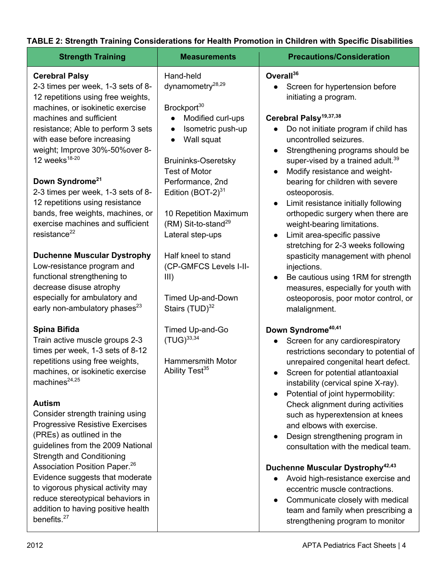# **TABLE 2: Strength Training Considerations for Health Promotion in Children with Specific Disabilities**

| <b>Strength Training</b>                                                                                                                                                                                                                                                                                                                                                                                                                                                                                                                                                                                       | <b>Measurements</b>                                                                                                                                                                                                                                                                                                                                                                    | <b>Precautions/Consideration</b>                                                                                                                                                                                                                                                                                                                                                                                                                                                                                                                                                                                                                                                                                             |  |
|----------------------------------------------------------------------------------------------------------------------------------------------------------------------------------------------------------------------------------------------------------------------------------------------------------------------------------------------------------------------------------------------------------------------------------------------------------------------------------------------------------------------------------------------------------------------------------------------------------------|----------------------------------------------------------------------------------------------------------------------------------------------------------------------------------------------------------------------------------------------------------------------------------------------------------------------------------------------------------------------------------------|------------------------------------------------------------------------------------------------------------------------------------------------------------------------------------------------------------------------------------------------------------------------------------------------------------------------------------------------------------------------------------------------------------------------------------------------------------------------------------------------------------------------------------------------------------------------------------------------------------------------------------------------------------------------------------------------------------------------------|--|
| <b>Cerebral Palsy</b><br>2-3 times per week, 1-3 sets of 8-<br>12 repetitions using free weights,<br>machines, or isokinetic exercise<br>machines and sufficient<br>resistance; Able to perform 3 sets<br>with ease before increasing<br>weight; Improve 30%-50%over 8-<br>12 weeks $^{18-20}$<br>Down Syndrome <sup>21</sup><br>2-3 times per week, 1-3 sets of 8-<br>12 repetitions using resistance<br>bands, free weights, machines, or<br>exercise machines and sufficient<br>resistance <sup>22</sup><br><b>Duchenne Muscular Dystrophy</b><br>Low-resistance program and<br>functional strengthening to | Hand-held<br>dynamometry <sup>28,29</sup><br>Brockport <sup>30</sup><br>Modified curl-ups<br>Isometric push-up<br>Wall squat<br>$\bullet$<br><b>Bruininks-Oseretsky</b><br><b>Test of Motor</b><br>Performance, 2nd<br>Edition $(BOT-2)^{31}$<br>10 Repetition Maximum<br>(RM) Sit-to-stand <sup>29</sup><br>Lateral step-ups<br>Half kneel to stand<br>(CP-GMFCS Levels I-II-<br>III) | Overall <sup>36</sup><br>Screen for hypertension before<br>$\bullet$<br>initiating a program.<br>Cerebral Palsy <sup>19,37,38</sup><br>Do not initiate program if child has<br>uncontrolled seizures.<br>Strengthening programs should be<br>$\bullet$<br>super-vised by a trained adult. <sup>39</sup><br>Modify resistance and weight-<br>$\bullet$<br>bearing for children with severe<br>osteoporosis.<br>Limit resistance initially following<br>$\bullet$<br>orthopedic surgery when there are<br>weight-bearing limitations.<br>Limit area-specific passive<br>$\bullet$<br>stretching for 2-3 weeks following<br>spasticity management with phenol<br>injections.<br>Be cautious using 1RM for strength<br>$\bullet$ |  |
| decrease disuse atrophy<br>especially for ambulatory and<br>early non-ambulatory phases <sup>23</sup><br><b>Spina Bifida</b><br>Train active muscle groups 2-3<br>times per week, 1-3 sets of 8-12<br>repetitions using free weights,<br>machines, or isokinetic exercise<br>machines <sup>24,25</sup><br><b>Autism</b><br>Consider strength training using<br><b>Progressive Resistive Exercises</b>                                                                                                                                                                                                          | <b>Timed Up-and-Down</b><br>Stairs $(TUD)^{32}$<br>Timed Up-and-Go<br>$(TUG)^{33,34}$<br><b>Hammersmith Motor</b><br>Ability Test <sup>35</sup>                                                                                                                                                                                                                                        | measures, especially for youth with<br>osteoporosis, poor motor control, or<br>malalignment.<br>Down Syndrome <sup>40,41</sup><br>Screen for any cardiorespiratory<br>$\bullet$<br>restrictions secondary to potential of<br>unrepaired congenital heart defect.<br>Screen for potential atlantoaxial<br>instability (cervical spine X-ray).<br>Potential of joint hypermobility:<br>$\bullet$<br>Check alignment during activities<br>such as hyperextension at knees<br>and elbows with exercise.                                                                                                                                                                                                                          |  |
| (PREs) as outlined in the<br>guidelines from the 2009 National<br><b>Strength and Conditioning</b><br>Association Position Paper. <sup>26</sup><br>Evidence suggests that moderate<br>to vigorous physical activity may<br>reduce stereotypical behaviors in<br>addition to having positive health<br>benefits. <sup>27</sup>                                                                                                                                                                                                                                                                                  |                                                                                                                                                                                                                                                                                                                                                                                        | Design strengthening program in<br>consultation with the medical team.<br>Duchenne Muscular Dystrophy <sup>42,43</sup><br>Avoid high-resistance exercise and<br>eccentric muscle contractions.<br>Communicate closely with medical<br>$\bullet$<br>team and family when prescribing a<br>strengthening program to monitor                                                                                                                                                                                                                                                                                                                                                                                                    |  |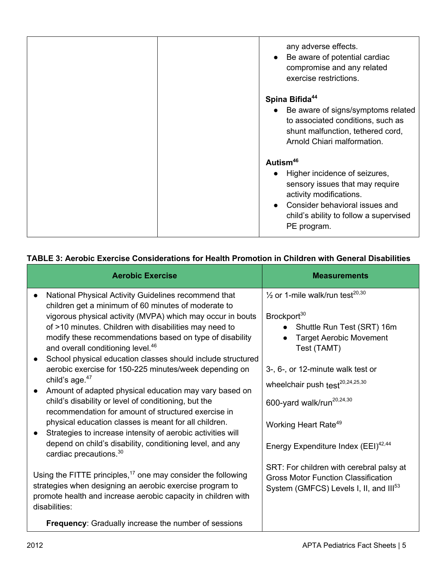| any adverse effects.<br>• Be aware of potential cardiac<br>compromise and any related<br>exercise restrictions.                                                                          |
|------------------------------------------------------------------------------------------------------------------------------------------------------------------------------------------|
| Spina Bifida <sup>44</sup>                                                                                                                                                               |
| • Be aware of signs/symptoms related<br>to associated conditions, such as<br>shunt malfunction, tethered cord,<br>Arnold Chiari malformation.                                            |
| Autism <sup>46</sup>                                                                                                                                                                     |
| • Higher incidence of seizures,<br>sensory issues that may require<br>activity modifications.<br>Consider behavioral issues and<br>child's ability to follow a supervised<br>PE program. |

| <b>Aerobic Exercise</b>                                                                                                                                                                                                                                                                                                                                                                                                                                                                                                                                                                                                                                                                                                                                                                                                                                                   | <b>Measurements</b>                                                                                                                                                                                                                                                                                                        |  |
|---------------------------------------------------------------------------------------------------------------------------------------------------------------------------------------------------------------------------------------------------------------------------------------------------------------------------------------------------------------------------------------------------------------------------------------------------------------------------------------------------------------------------------------------------------------------------------------------------------------------------------------------------------------------------------------------------------------------------------------------------------------------------------------------------------------------------------------------------------------------------|----------------------------------------------------------------------------------------------------------------------------------------------------------------------------------------------------------------------------------------------------------------------------------------------------------------------------|--|
| National Physical Activity Guidelines recommend that<br>children get a minimum of 60 minutes of moderate to<br>vigorous physical activity (MVPA) which may occur in bouts<br>of >10 minutes. Children with disabilities may need to<br>modify these recommendations based on type of disability<br>and overall conditioning level. <sup>46</sup><br>School physical education classes should include structured<br>aerobic exercise for 150-225 minutes/week depending on<br>child's age. $47$<br>Amount of adapted physical education may vary based on<br>$\bullet$<br>child's disability or level of conditioning, but the<br>recommendation for amount of structured exercise in<br>physical education classes is meant for all children.<br>Strategies to increase intensity of aerobic activities will<br>depend on child's disability, conditioning level, and any | $\frac{1}{2}$ or 1-mile walk/run test <sup>20,30</sup><br>Brockport <sup>30</sup><br>Shuttle Run Test (SRT) 16m<br><b>Target Aerobic Movement</b><br>Test (TAMT)<br>3-, 6-, or 12-minute walk test or<br>wheelchair push $test^{20,24,25,30}$<br>600-yard walk/run <sup>20,24,30</sup><br>Working Heart Rate <sup>49</sup> |  |
| cardiac precautions. <sup>30</sup>                                                                                                                                                                                                                                                                                                                                                                                                                                                                                                                                                                                                                                                                                                                                                                                                                                        | Energy Expenditure Index (EEI) <sup>42,44</sup>                                                                                                                                                                                                                                                                            |  |
| Using the FITTE principles, $17$ one may consider the following<br>strategies when designing an aerobic exercise program to<br>promote health and increase aerobic capacity in children with<br>disabilities:                                                                                                                                                                                                                                                                                                                                                                                                                                                                                                                                                                                                                                                             | SRT: For children with cerebral palsy at<br><b>Gross Motor Function Classification</b><br>System (GMFCS) Levels I, II, and III <sup>53</sup>                                                                                                                                                                               |  |
| Frequency: Gradually increase the number of sessions                                                                                                                                                                                                                                                                                                                                                                                                                                                                                                                                                                                                                                                                                                                                                                                                                      |                                                                                                                                                                                                                                                                                                                            |  |

### **TABLE 3: Aerobic Exercise Considerations for Health Promotion in Children with General Disabilities**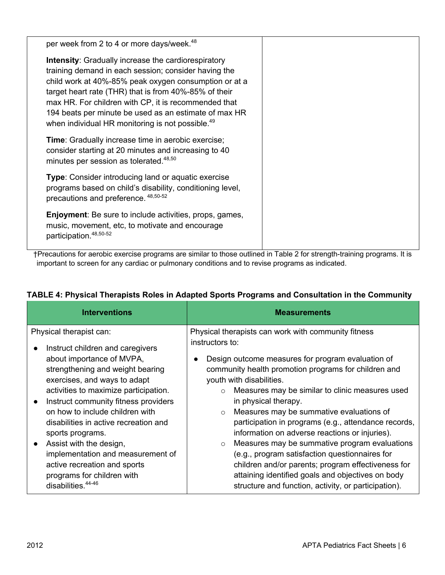| per week from 2 to 4 or more days/week. <sup>48</sup>                                                                                                                                                                                                                                                                                                                                                                 |  |
|-----------------------------------------------------------------------------------------------------------------------------------------------------------------------------------------------------------------------------------------------------------------------------------------------------------------------------------------------------------------------------------------------------------------------|--|
| <b>Intensity:</b> Gradually increase the cardiorespiratory<br>training demand in each session; consider having the<br>child work at 40%-85% peak oxygen consumption or at a<br>target heart rate (THR) that is from 40%-85% of their<br>max HR. For children with CP, it is recommended that<br>194 beats per minute be used as an estimate of max HR<br>when individual HR monitoring is not possible. <sup>49</sup> |  |
| <b>Time:</b> Gradually increase time in aerobic exercise;<br>consider starting at 20 minutes and increasing to 40<br>minutes per session as tolerated. <sup>48,50</sup>                                                                                                                                                                                                                                               |  |
| <b>Type:</b> Consider introducing land or aquatic exercise<br>programs based on child's disability, conditioning level,<br>precautions and preference. 48,50-52                                                                                                                                                                                                                                                       |  |
| <b>Enjoyment:</b> Be sure to include activities, props, games,<br>music, movement, etc, to motivate and encourage<br>participation. <sup>48,50-52</sup>                                                                                                                                                                                                                                                               |  |

†Precautions for aerobic exercise programs are similar to those outlined in Table 2 for strength-training programs. It is important to screen for any cardiac or pulmonary conditions and to revise programs as indicated.

| <b>Interventions</b>                                                                                                                                                                                                                                                                                                                                                                                                                                                                              | <b>Measurements</b>                                                                                                                                                                                                                                                                                                                                                                                                                                                                                                                                                                                                                                                                                                                                     |  |  |
|---------------------------------------------------------------------------------------------------------------------------------------------------------------------------------------------------------------------------------------------------------------------------------------------------------------------------------------------------------------------------------------------------------------------------------------------------------------------------------------------------|---------------------------------------------------------------------------------------------------------------------------------------------------------------------------------------------------------------------------------------------------------------------------------------------------------------------------------------------------------------------------------------------------------------------------------------------------------------------------------------------------------------------------------------------------------------------------------------------------------------------------------------------------------------------------------------------------------------------------------------------------------|--|--|
| Physical therapist can:<br>Instruct children and caregivers<br>about importance of MVPA,<br>strengthening and weight bearing<br>exercises, and ways to adapt<br>activities to maximize participation.<br>Instruct community fitness providers<br>on how to include children with<br>disabilities in active recreation and<br>sports programs.<br>Assist with the design,<br>implementation and measurement of<br>active recreation and sports<br>programs for children with<br>disabilities. $44$ | Physical therapists can work with community fitness<br>instructors to:<br>Design outcome measures for program evaluation of<br>community health promotion programs for children and<br>youth with disabilities.<br>Measures may be similar to clinic measures used<br>$\circ$<br>in physical therapy.<br>Measures may be summative evaluations of<br>$\circ$<br>participation in programs (e.g., attendance records,<br>information on adverse reactions or injuries).<br>Measures may be summative program evaluations<br>$\circ$<br>(e.g., program satisfaction questionnaires for<br>children and/or parents; program effectiveness for<br>attaining identified goals and objectives on body<br>structure and function, activity, or participation). |  |  |

## **TABLE 4: Physical Therapists Roles in Adapted Sports Programs and Consultation in the Community**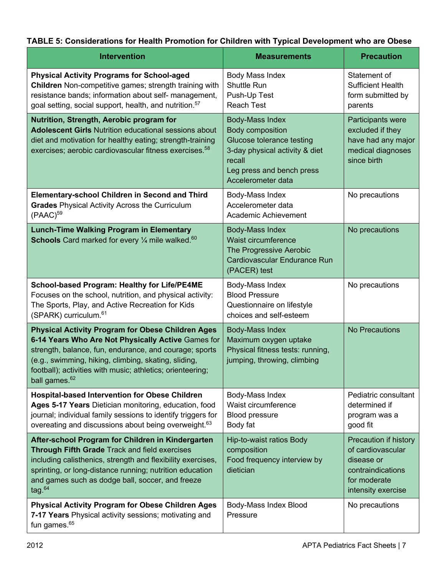# **TABLE 5: Considerations for Health Promotion for Children with Typical Development who are Obese**

| <b>Intervention</b>                                                                                                                                                                                                                                                                                                         | <b>Measurements</b>                                                                                                                                             | <b>Precaution</b>                                                                                                   |
|-----------------------------------------------------------------------------------------------------------------------------------------------------------------------------------------------------------------------------------------------------------------------------------------------------------------------------|-----------------------------------------------------------------------------------------------------------------------------------------------------------------|---------------------------------------------------------------------------------------------------------------------|
| <b>Physical Activity Programs for School-aged</b><br>Children Non-competitive games; strength training with<br>resistance bands; information about self- management,<br>goal setting, social support, health, and nutrition. <sup>57</sup>                                                                                  | Body Mass Index<br>Shuttle Run<br>Push-Up Test<br><b>Reach Test</b>                                                                                             | Statement of<br><b>Sufficient Health</b><br>form submitted by<br>parents                                            |
| Nutrition, Strength, Aerobic program for<br><b>Adolescent Girls Nutrition educational sessions about</b><br>diet and motivation for healthy eating; strength-training<br>exercises; aerobic cardiovascular fitness exercises. <sup>58</sup>                                                                                 | Body-Mass Index<br>Body composition<br>Glucose tolerance testing<br>3-day physical activity & diet<br>recall<br>Leg press and bench press<br>Accelerometer data | Participants were<br>excluded if they<br>have had any major<br>medical diagnoses<br>since birth                     |
| <b>Elementary-school Children in Second and Third</b><br><b>Grades Physical Activity Across the Curriculum</b><br>$(PAAC)^{59}$                                                                                                                                                                                             | Body-Mass Index<br>Accelerometer data<br>Academic Achievement                                                                                                   | No precautions                                                                                                      |
| <b>Lunch-Time Walking Program in Elementary</b><br>Schools Card marked for every 1/4 mile walked. <sup>60</sup>                                                                                                                                                                                                             | <b>Body-Mass Index</b><br>Waist circumference<br>The Progressive Aerobic<br>Cardiovascular Endurance Run<br>(PACER) test                                        | No precautions                                                                                                      |
| School-based Program: Healthy for Life/PE4ME<br>Focuses on the school, nutrition, and physical activity:<br>The Sports, Play, and Active Recreation for Kids<br>(SPARK) curriculum. <sup>61</sup>                                                                                                                           | Body-Mass Index<br><b>Blood Pressure</b><br>Questionnaire on lifestyle<br>choices and self-esteem                                                               | No precautions                                                                                                      |
| <b>Physical Activity Program for Obese Children Ages</b><br>6-14 Years Who Are Not Physically Active Games for<br>strength, balance, fun, endurance, and courage; sports<br>(e.g., swimming, hiking, climbing, skating, sliding,<br>football); activities with music; athletics; orienteering;<br>ball games. <sup>62</sup> | Body-Mass Index<br>Maximum oxygen uptake<br>Physical fitness tests: running,<br>jumping, throwing, climbing                                                     | <b>No Precautions</b>                                                                                               |
| <b>Hospital-based Intervention for Obese Children</b><br>Ages 5-17 Years Dietician monitoring, education, food<br>journal; individual family sessions to identify triggers for<br>overeating and discussions about being overweight. <sup>63</sup>                                                                          | Body-Mass Index<br>Waist circumference<br>Blood pressure<br>Body fat                                                                                            | Pediatric consultant<br>determined if<br>program was a<br>good fit                                                  |
| After-school Program for Children in Kindergarten<br>Through Fifth Grade Track and field exercises<br>including calisthenics, strength and flexibility exercises,<br>sprinting, or long-distance running; nutrition education<br>and games such as dodge ball, soccer, and freeze<br>tag.64                                 | Hip-to-waist ratios Body<br>composition<br>Food frequency interview by<br>dietician                                                                             | Precaution if history<br>of cardiovascular<br>disease or<br>contraindications<br>for moderate<br>intensity exercise |
| <b>Physical Activity Program for Obese Children Ages</b><br>7-17 Years Physical activity sessions; motivating and<br>fun games. <sup>65</sup>                                                                                                                                                                               | Body-Mass Index Blood<br>Pressure                                                                                                                               | No precautions                                                                                                      |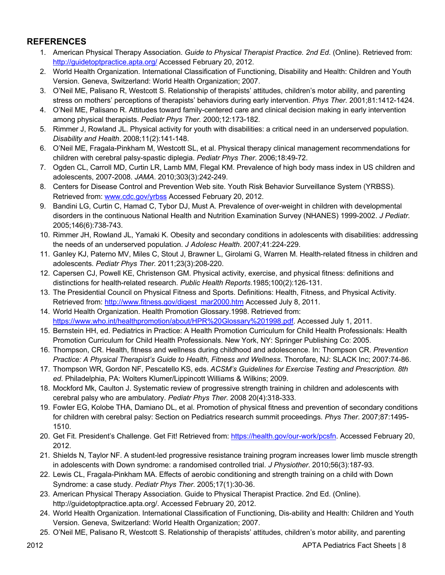### **REFERENCES**

- 1. American Physical Therapy Association. *Guide to Physical Therapist Practice. 2nd Ed*. (Online). Retrieved from: http://guidetoptpractice.apta.org/ Accessed February 20, 2012.
- 2. World Health Organization. International Classification of Functioning, Disability and Health: Children and Youth Version. Geneva, Switzerland: World Health Organization; 2007.
- 3. O'Neil ME, Palisano R, Westcott S. Relationship of therapists' attitudes, children's motor ability, and parenting stress on mothers' perceptions of therapists' behaviors during early intervention. *Phys Ther.* 2001;81:1412-1424.
- 4. O'Neil ME, Palisano R. Attitudes toward family-centered care and clinical decision making in early intervention among physical therapists. *Pediatr Phys Ther.* 2000;12:173-182.
- 5. Rimmer J, Rowland JL. Physical activity for youth with disabilities: a critical need in an underserved population. *Disability and Health*. 2008;11(2):141-148.
- 6. O'Neil ME, Fragala-Pinkham M, Westcott SL, et al. Physical therapy clinical management recommendations for children with cerebral palsy-spastic diplegia. *Pediatr Phys Ther*. 2006;18:49-72.
- 7. Ogden CL, Carroll MD, Curtin LR, Lamb MM, Flegal KM. Prevalence of high body mass index in US children and adolescents, 2007-2008. *JAMA*. 2010;303(3):242-249.
- 8. Centers for Disease Control and Prevention Web site. Youth Risk Behavior Surveillance System (YRBSS). Retrieved from: www.cdc.gov/yrbss Accessed February 20, 2012.
- 9. Bandini LG, Curtin C, Hamad C, Tybor DJ, Must A. Prevalence of over-weight in children with developmental disorders in the continuous National Health and Nutrition Examination Survey (NHANES) 1999-2002. *J Pediatr.* 2005;146(6):738-743.
- 10. Rimmer JH, Rowland JL, Yamaki K. Obesity and secondary conditions in adolescents with disabilities: addressing the needs of an underserved population. *J Adolesc Health*. 2007;41:224-229.
- 11. Ganley KJ, Paterno MV, Miles C, Stout J, Brawner L, Girolami G, Warren M. Health-related fitness in children and adolescents. *Pediatr Phys Ther.* 2011;23(3):208-220.
- 12. Capersen CJ, Powell KE, Christenson GM. Physical activity, exercise, and physical fitness: definitions and distinctions for health-related research. *Public Health Reports*.1985;100(2):126-131.
- 13. The Presidential Council on Physical Fitness and Sports. Definitions: Health, Fitness, and Physical Activity. Retrieved from: http://www.fitness.gov/digest\_mar2000.htm Accessed July 8, 2011.
- 14. World Health Organization. Health Promotion Glossary.1998. Retrieved from: https://www.who.int/healthpromotion/about/HPR%20Glossary%201998.pdf. Accessed July 1, 2011.
- 15. Bernstein HH, ed. Pediatrics in Practice: A Health Promotion Curriculum for Child Health Professionals: Health Promotion Curriculum for Child Health Professionals. New York, NY: Springer Publishing Co: 2005.
- 16. Thompson, CR. Health, fitness and wellness during childhood and adolescence. In: Thompson CR. *Prevention Practice: A Physical Therapist's Guide to Health, Fitness and Wellness*. Thorofare, NJ: SLACK Inc; 2007:74-86.
- 17. Thompson WR, Gordon NF, Pescatello KS, eds. *ACSM's Guidelines for Exercise Testing and Prescription. 8th ed*. Philadelphia, PA: Wolters Klumer/Lippincott Williams & Wilkins; 2009.
- 18. Mockford Mk, Caulton J. Systematic review of progressive strength training in children and adolescents with cerebral palsy who are ambulatory. *Pediatr Phys Ther.* 2008 20(4):318-333.
- 19. Fowler EG, Kolobe THA, Damiano DL, et al. Promotion of physical fitness and prevention of secondary conditions for children with cerebral palsy: Section on Pediatrics research summit proceedings. *Phys Ther*. 2007;87:1495- 1510.
- 20. Get Fit. President's Challenge. Get Fit! Retrieved from: https://health.gov/our-work/pcsfn. Accessed February 20, 2012.
- 21. Shields N, Taylor NF. A student-led progressive resistance training program increases lower limb muscle strength in adolescents with Down syndrome: a randomised controlled trial. *J Physiother*. 2010;56(3):187-93.
- 22. Lewis CL, Fragala-Pinkham MA. Effects of aerobic conditioning and strength training on a child with Down Syndrome: a case study. *Pediatr Phys Ther*. 2005;17(1):30-36.
- 23. American Physical Therapy Association. Guide to Physical Therapist Practice. 2nd Ed. (Online). http://guidetoptpractice.apta.org/. Accessed February 20, 2012.
- 24. World Health Organization. International Classification of Functioning, Dis-ability and Health: Children and Youth Version. Geneva, Switzerland: World Health Organization; 2007.
- 25. O'Neil ME, Palisano R, Westcott S. Relationship of therapists' attitudes, children's motor ability, and parenting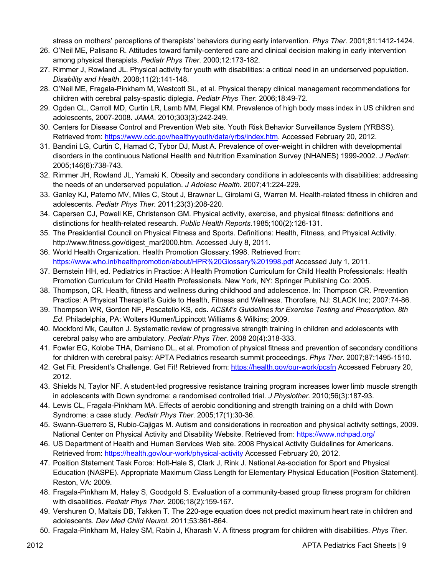stress on mothers' perceptions of therapists' behaviors during early intervention. *Phys Ther*. 2001;81:1412-1424.

- 26. O'Neil ME, Palisano R. Attitudes toward family-centered care and clinical decision making in early intervention among physical therapists. *Pediatr Phys Ther*. 2000;12:173-182.
- 27. Rimmer J, Rowland JL. Physical activity for youth with disabilities: a critical need in an underserved population. *Disability and Health*. 2008;11(2):141-148.
- 28. O'Neil ME, Fragala-Pinkham M, Westcott SL, et al. Physical therapy clinical management recommendations for children with cerebral palsy-spastic diplegia. *Pediatr Phys Ther*. 2006;18:49-72.
- 29. Ogden CL, Carroll MD, Curtin LR, Lamb MM, Flegal KM. Prevalence of high body mass index in US children and adolescents, 2007-2008. *JAMA*. 2010;303(3):242-249.
- 30. Centers for Disease Control and Prevention Web site. Youth Risk Behavior Surveillance System (YRBSS). Retrieved from: https://www.cdc.gov/healthyyouth/data/yrbs/index.htm. Accessed February 20, 2012.
- 31. Bandini LG, Curtin C, Hamad C, Tybor DJ, Must A. Prevalence of over-weight in children with developmental disorders in the continuous National Health and Nutrition Examination Survey (NHANES) 1999-2002. *J Pediatr*. 2005;146(6):738-743.
- 32. Rimmer JH, Rowland JL, Yamaki K. Obesity and secondary conditions in adolescents with disabilities: addressing the needs of an underserved population. *J Adolesc Health*. 2007;41:224-229.
- 33. Ganley KJ, Paterno MV, Miles C, Stout J, Brawner L, Girolami G, Warren M. Health-related fitness in children and adolescents. *Pediatr Phys Ther.* 2011;23(3):208-220.
- 34. Capersen CJ, Powell KE, Christenson GM. Physical activity, exercise, and physical fitness: definitions and distinctions for health-related research. *Public Health Reports*.1985;100(2):126-131.
- 35. The Presidential Council on Physical Fitness and Sports. Definitions: Health, Fitness, and Physical Activity. http://www.fitness.gov/digest\_mar2000.htm. Accessed July 8, 2011.
- 36. World Health Organization. Health Promotion Glossary.1998. Retrieved from: https://www.who.int/healthpromotion/about/HPR%20Glossary%201998.pdf Accessed July 1, 2011.
- 37. Bernstein HH, ed. Pediatrics in Practice: A Health Promotion Curriculum for Child Health Professionals: Health Promotion Curriculum for Child Health Professionals. New York, NY: Springer Publishing Co: 2005.
- 38. Thompson, CR. Health, fitness and wellness during childhood and adolescence. In: Thompson CR. Prevention Practice: A Physical Therapist's Guide to Health, Fitness and Wellness. Thorofare, NJ: SLACK Inc; 2007:74-86.
- 39. Thompson WR, Gordon NF, Pescatello KS, eds. *ACSM's Guidelines for Exercise Testing and Prescription. 8th Ed*. Philadelphia, PA: Wolters Klumer/Lippincott Williams & Wilkins; 2009.
- 40. Mockford Mk, Caulton J. Systematic review of progressive strength training in children and adolescents with cerebral palsy who are ambulatory. *Pediatr Phys Ther*. 2008 20(4):318-333.
- 41. Fowler EG, Kolobe THA, Damiano DL, et al. Promotion of physical fitness and prevention of secondary conditions for children with cerebral palsy: APTA Pediatrics research summit proceedings. *Phys Ther.* 2007;87:1495-1510.
- 42. Get Fit. President's Challenge. Get Fit! Retrieved from: https://health.gov/our-work/pcsfn Accessed February 20, 2012.
- 43. Shields N, Taylor NF. A student-led progressive resistance training program increases lower limb muscle strength in adolescents with Down syndrome: a randomised controlled trial. *J Physiother.* 2010;56(3):187-93.
- 44. Lewis CL, Fragala-Pinkham MA. Effects of aerobic conditioning and strength training on a child with Down Syndrome: a case study. *Pediatr Phys Ther*. 2005;17(1):30-36.
- 45. Swann-Guerrero S, Rubio-Cajigas M. Autism and considerations in recreation and physical activity settings, 2009. National Center on Physical Activity and Disability Website. Retrieved from: https://www.nchpad.org/
- 46. US Department of Health and Human Services Web site. 2008 Physical Activity Guidelines for Americans. Retrieved from: https://health.gov/our-work/physical-activity Accessed February 20, 2012.
- 47. Position Statement Task Force: Holt-Hale S, Clark J, Rink J. National As-sociation for Sport and Physical Education (NASPE). Appropriate Maximum Class Length for Elementary Physical Education [Position Statement]. Reston, VA: 2009.
- 48. Fragala-Pinkham M, Haley S, Goodgold S. Evaluation of a community-based group fitness program for children with disabilities. *Pediatr Phys Ther*. 2006;18(2):159-167.
- 49. Vershuren O, Maltais DB, Takken T. The 220-age equation does not predict maximum heart rate in children and adolescents. *Dev Med Child Neurol*. 2011;53:861-864.
- 50. Fragala-Pinkham M, Haley SM, Rabin J, Kharash V. A fitness program for children with disabilities. *Phys Ther*.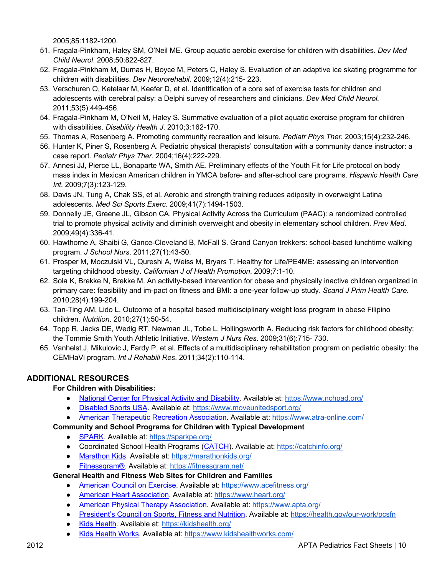2005;85:1182-1200.

- 51. Fragala-Pinkham, Haley SM, O'Neil ME. Group aquatic aerobic exercise for children with disabilities. *Dev Med Child Neurol*. 2008;50:822-827.
- 52. Fragala-Pinkham M, Dumas H, Boyce M, Peters C, Haley S. Evaluation of an adaptive ice skating programme for children with disabilities. *Dev Neurorehabil.* 2009;12(4):215- 223.
- 53. Verschuren O, Ketelaar M, Keefer D, et al. Identification of a core set of exercise tests for children and adolescents with cerebral palsy: a Delphi survey of researchers and clinicians. *Dev Med Child Neurol.*  2011;53(5):449-456.
- 54. Fragala-Pinkham M, O'Neil M, Haley S. Summative evaluation of a pilot aquatic exercise program for children with disabilities. *Disability Health J*. 2010;3:162-170.
- 55. Thomas A, Rosenberg A. Promoting community recreation and leisure. *Pediatr Phys Ther.* 2003;15(4):232-246.
- 56. Hunter K, Piner S, Rosenberg A. Pediatric physical therapists' consultation with a community dance instructor: a case report. *Pediatr Phys Ther*. 2004;16(4):222-229.
- 57. Annesi JJ, Pierce LL, Bonaparte WA, Smith AE. Preliminary effects of the Youth Fit for Life protocol on body mass index in Mexican American children in YMCA before- and after-school care programs. *Hispanic Health Care Int.* 2009;7(3):123-129.
- 58. Davis JN, Tung A, Chak SS, et al. Aerobic and strength training reduces adiposity in overweight Latina adolescents. *Med Sci Sports Exerc*. 2009;41(7):1494-1503.
- 59. Donnelly JE, Greene JL, Gibson CA. Physical Activity Across the Curriculum (PAAC): a randomized controlled trial to promote physical activity and diminish overweight and obesity in elementary school children. *Prev Med*. 2009;49(4):336-41.
- 60. Hawthorne A, Shaibi G, Gance-Cleveland B, McFall S. Grand Canyon trekkers: school-based lunchtime walking program. *J School Nurs*. 2011;27(1):43-50.
- 61. Prosper M, Moczulski VL, Qureshi A, Weiss M, Bryars T. Healthy for Life/PE4ME: assessing an intervention targeting childhood obesity. *Californian J of Health Promotion*. 2009;7:1-10.
- 62. Sola K, Brekke N, Brekke M. An activity-based intervention for obese and physically inactive children organized in primary care: feasibility and im-pact on fitness and BMI: a one-year follow-up study. *Scand J Prim Health Care*. 2010;28(4):199-204.
- 63. Tan-Ting AM, Lido L. Outcome of a hospital based multidisciplinary weight loss program in obese Filipino children. *Nutrition*. 2010;27(1):50-54.
- 64. Topp R, Jacks DE, Wedig RT, Newman JL, Tobe L, Hollingsworth A. Reducing risk factors for childhood obesity: the Tommie Smith Youth Athletic Initiative. *Western J Nurs Res*. 2009;31(6):715- 730.
- 65. Vanhelst J, Mikulovic J, Fardy P, et al. Effects of a multidisciplinary rehabilitation program on pediatric obesity: the CEMHaVi program. *Int J Rehabili Res*. 2011;34(2):110-114.

#### **ADDITIONAL RESOURCES**

#### **For Children with Disabilities:**

- National Center for Physical Activity and Disability. Available at: https://www.nchpad.org/
- Disabled Sports USA. Available at: https://www.moveunitedsport.org/
- American Therapeutic Recreation Association. Available at: https://www.atra-online.com/

#### **Community and School Programs for Children with Typical Development**

- SPARK. Available at: https://sparkpe.org/
- Coordinated School Health Programs (CATCH). Available at: https://catchinfo.org/
- Marathon Kids. Available at: https://marathonkids.org/
- Fitnessgram<sup>®</sup>. Available at: https://fitnessgram.net/

#### **General Health and Fitness Web Sites for Children and Families**

- American Council on Exercise. Available at: https://www.acefitness.org/
- American Heart Association. Available at: https://www.heart.org/
- American Physical Therapy Association. Available at: https://www.apta.org/
- President's Council on Sports, Fitness and Nutrition. Available at: https://health.gov/our-work/pcsfn
- Kids Health. Available at: https://kidshealth.org/
- Kids Health Works. Available at: https://www.kidshealthworks.com/